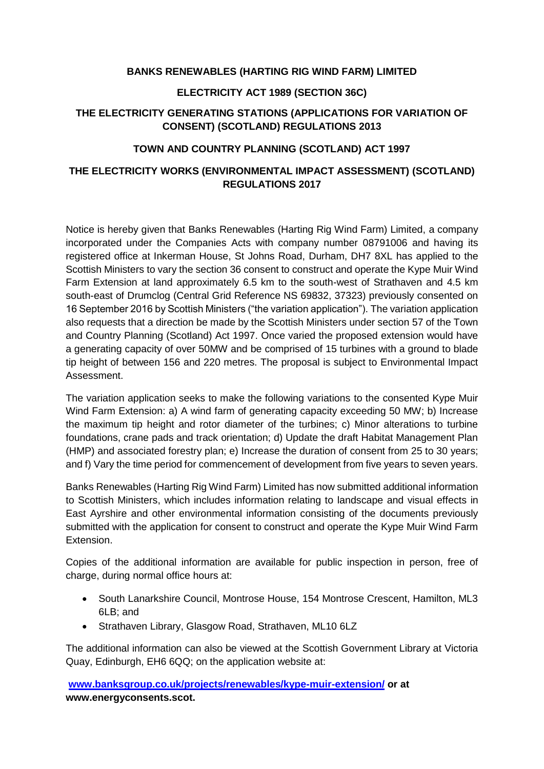### **BANKS RENEWABLES (HARTING RIG WIND FARM) LIMITED**

## **ELECTRICITY ACT 1989 (SECTION 36C)**

# **THE ELECTRICITY GENERATING STATIONS (APPLICATIONS FOR VARIATION OF CONSENT) (SCOTLAND) REGULATIONS 2013**

### **TOWN AND COUNTRY PLANNING (SCOTLAND) ACT 1997**

# **THE ELECTRICITY WORKS (ENVIRONMENTAL IMPACT ASSESSMENT) (SCOTLAND) REGULATIONS 2017**

Notice is hereby given that Banks Renewables (Harting Rig Wind Farm) Limited, a company incorporated under the Companies Acts with company number 08791006 and having its registered office at Inkerman House, St Johns Road, Durham, DH7 8XL has applied to the Scottish Ministers to vary the section 36 consent to construct and operate the Kype Muir Wind Farm Extension at land approximately 6.5 km to the south-west of Strathaven and 4.5 km south-east of Drumclog (Central Grid Reference NS 69832, 37323) previously consented on 16 September 2016 by Scottish Ministers ("the variation application"). The variation application also requests that a direction be made by the Scottish Ministers under section 57 of the Town and Country Planning (Scotland) Act 1997. Once varied the proposed extension would have a generating capacity of over 50MW and be comprised of 15 turbines with a ground to blade tip height of between 156 and 220 metres. The proposal is subject to Environmental Impact Assessment.

The variation application seeks to make the following variations to the consented Kype Muir Wind Farm Extension: a) A wind farm of generating capacity exceeding 50 MW; b) Increase the maximum tip height and rotor diameter of the turbines; c) Minor alterations to turbine foundations, crane pads and track orientation; d) Update the draft Habitat Management Plan (HMP) and associated forestry plan; e) Increase the duration of consent from 25 to 30 years; and f) Vary the time period for commencement of development from five years to seven years.

Banks Renewables (Harting Rig Wind Farm) Limited has now submitted additional information to Scottish Ministers, which includes information relating to landscape and visual effects in East Ayrshire and other environmental information consisting of the documents previously submitted with the application for consent to construct and operate the Kype Muir Wind Farm Extension.

Copies of the additional information are available for public inspection in person, free of charge, during normal office hours at:

- South Lanarkshire Council, Montrose House, 154 Montrose Crescent, Hamilton, ML3 6LB; and
- Strathaven Library, Glasgow Road, Strathaven, ML10 6LZ

The additional information can also be viewed at the Scottish Government Library at Victoria Quay, Edinburgh, EH6 6QQ; on the application website at:

**[www.banksgroup.co.uk/projects/renewables/kype-muir-extension/](file:///C:/Users/Rachel.allum/AppData/Local/Microsoft/Windows/Temporary%20Internet%20Files/Content.Outlook/UV6PGVWW/www.banksgroup.co.uk/projects/renewables/kype-muir-extension/) or at www.energyconsents.scot.**